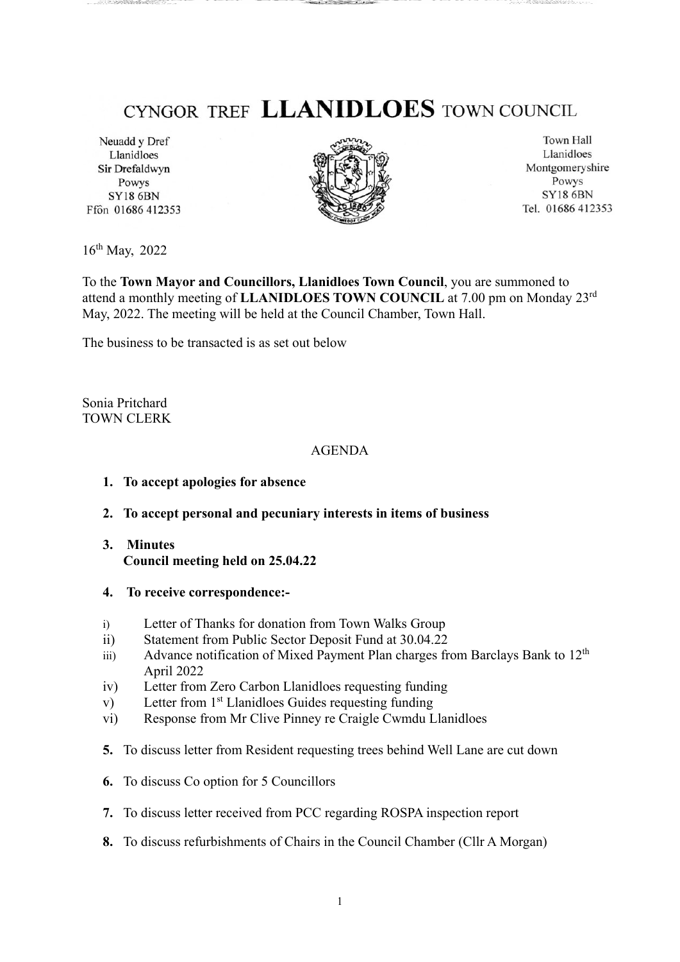## CYNGOR TREF LLANIDLOES TOWN COUNCIL

Neuadd y Dref Llanidloes Sir Drefaldwyn Powys **SY18 6BN** Ffôn 01686 412353



Town Hall Llanidloes Montgomeryshire Powys **SY18 6BN** Tel. 01686 412353

16th May, 2022

To the **Town Mayor and Councillors, Llanidloes Town Council**, you are summoned to attend a monthly meeting of **LLANIDLOES TOWN COUNCIL** at 7.00 pm on Monday 23rd May, 2022. The meeting will be held at the Council Chamber, Town Hall.

The business to be transacted is as set out below

Sonia Pritchard TOWN CLERK

## AGENDA

- **1. To accept apologies for absence**
- **2. To accept personal and pecuniary interests in items of business**
- **3. Minutes Council meeting held on 25.04.22**
- **4. To receive correspondence:-**
- i) Letter of Thanks for donation from Town Walks Group
- ii) Statement from Public Sector Deposit Fund at 30.04.22
- iii) Advance notification of Mixed Payment Plan charges from Barclays Bank to  $12<sup>th</sup>$ April 2022
- iv) Letter from Zero Carbon Llanidloes requesting funding
- v) Letter from 1<sup>st</sup> Llanidloes Guides requesting funding
- vi) Response from Mr Clive Pinney re Craigle Cwmdu Llanidloes
- **5.** To discuss letter from Resident requesting trees behind Well Lane are cut down
- **6.** To discuss Co option for 5 Councillors
- **7.** To discuss letter received from PCC regarding ROSPA inspection report
- **8.** To discuss refurbishments of Chairs in the Council Chamber (Cllr A Morgan)